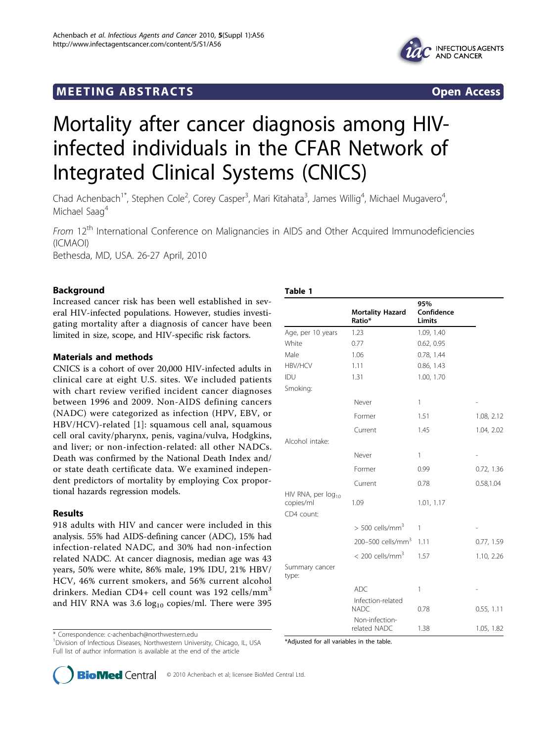# <span id="page-0-0"></span>**MEETING ABSTRACTS** And the state of the state of the state of the state of the state of the state of the state of the state of the state of the state of the state of the state of the state of the state of the state of the





# Mortality after cancer diagnosis among HIVinfected individuals in the CFAR Network of Integrated Clinical Systems (CNICS)

Chad Achenbach<sup>1\*</sup>, Stephen Cole<sup>2</sup>, Corey Casper<sup>3</sup>, Mari Kitahata<sup>3</sup>, James Willig<sup>4</sup>, Michael Mugavero<sup>4</sup> , Michael Saag<sup>4</sup>

From 12<sup>th</sup> International Conference on Malignancies in AIDS and Other Acquired Immunodeficiencies (ICMAOI) Bethesda, MD, USA. 26-27 April, 2010

Background

Increased cancer risk has been well established in several HIV-infected populations. However, studies investigating mortality after a diagnosis of cancer have been limited in size, scope, and HIV-specific risk factors.

# Materials and methods

CNICS is a cohort of over 20,000 HIV-infected adults in clinical care at eight U.S. sites. We included patients with chart review verified incident cancer diagnoses between 1996 and 2009. Non-AIDS defining cancers (NADC) were categorized as infection (HPV, EBV, or HBV/HCV)-related [1]: squamous cell anal, squamous cell oral cavity/pharynx, penis, vagina/vulva, Hodgkins, and liver; or non-infection-related: all other NADCs. Death was confirmed by the National Death Index and/ or state death certificate data. We examined independent predictors of mortality by employing Cox proportional hazards regression models.

# Results

918 adults with HIV and cancer were included in this analysis. 55% had AIDS-defining cancer (ADC), 15% had infection-related NADC, and 30% had non-infection related NADC. At cancer diagnosis, median age was 43 years, 50% were white, 86% male, 19% IDU, 21% HBV/ HCV, 46% current smokers, and 56% current alcohol drinkers. Median CD4+ cell count was 192 cells/mm<sup>3</sup> and HIV RNA was  $3.6 \log_{10}$  copies/ml. There were 395

\* Correspondence: [c-achenbach@northwestern.edu](mailto:c-achenbach@northwestern.edu)

<sup>1</sup> Division of Infectious Diseases, Northwestern University, Chicago, IL, USA Full list of author information is available at the end of the article

| ۰.<br>×<br>۰.<br>w<br>. . |  |
|---------------------------|--|
|---------------------------|--|

|                                                           |                                   | 95%                  |            |
|-----------------------------------------------------------|-----------------------------------|----------------------|------------|
|                                                           | <b>Mortality Hazard</b><br>Ratio* | Confidence<br>Limits |            |
| Age, per 10 years                                         | 1.23                              | 1.09, 1.40           |            |
| White                                                     | 0.77                              | 0.62, 0.95           |            |
| Male                                                      | 1.06                              | 0.78, 1.44           |            |
| <b>HBV/HCV</b>                                            | 1.11                              | 0.86, 1.43           |            |
| IDU                                                       | 1.31                              | 1.00, 1.70           |            |
| Smoking:                                                  |                                   |                      |            |
|                                                           | Never                             | 1                    |            |
|                                                           | Former                            | 1.51                 | 1.08, 2.12 |
|                                                           | Current                           | 1.45                 | 1.04, 2.02 |
| Alcohol intake:                                           |                                   |                      |            |
|                                                           | Never                             | $\mathbf{1}$         |            |
|                                                           | Former                            | 0.99                 | 0.72, 1.36 |
|                                                           | Current                           | 0.78                 | 0.58,1.04  |
| HIV RNA, per log <sub>10</sub><br>copies/ml<br>CD4 count: | 1.09                              | 1.01, 1.17           |            |
|                                                           | $> 500$ cells/mm <sup>3</sup>     | 1                    |            |
|                                                           | 200-500 cells/mm <sup>3</sup>     | 1.11                 | 0.77, 1.59 |
|                                                           | $< 200$ cells/mm <sup>3</sup>     | 1.57                 | 1.10, 2.26 |
| Summary cancer<br>type:                                   |                                   |                      |            |
|                                                           | <b>ADC</b>                        | 1                    |            |
|                                                           | Infection-related<br><b>NADC</b>  | 0.78                 | 0.55, 1.11 |
|                                                           | Non-infection-<br>related NADC    | 1.38                 | 1.05, 1.82 |

\*Adjusted for all variables in the table.